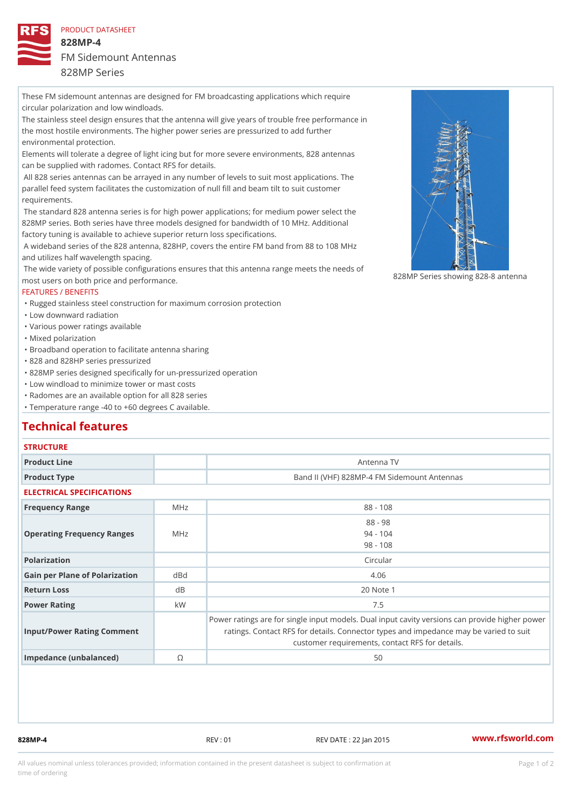#### PRODUCT DATASHEET

# 828MP-4 FM Sidemount Antennas

#### 828MP Series

These FM sidemount antennas are designed for FM broadcasting applications which require circular polarization and low windloads. The stainless steel design ensures that the antenna will give years of trouble free performance in the most hostile environments. The higher power series are pressurized to add further environmental protection. Elements will tolerate a degree of light icing but for more severe environments, 828 antennas

can be supplied with radomes. Contact RFS for details.

 All 828 series antennas can be arrayed in any number of levels to suit most applications. The parallel feed system facilitates the customization of null fill and beam tilt to suit customer requirements.

 The standard 828 antenna series is for high power applications; for medium power select the 828MP series. Both series have three models designed for bandwidth of 10 MHz. Additional factory tuning is available to achieve superior return loss specifications.

 A wideband series of the 828 antenna, 828HP, covers the entire FM band from 88 to 108 MHz and utilizes half wavelength spacing.

The wide variety of possible configurations ensures that this antenna range meets the needs of The wide variety of possible configurations ensures that this antenna range meets the needs of antenna for the system of the sy most users on both price and performance.

## FEATURES / BENEFITS

"Rugged stainless steel construction for maximum corrosion protection

"Low downward radiation

"Various power ratings available

"Mixed polarization

"Broadband operation to facilitate antenna sharing

"828 and 828HP series pressurized

"828MP series designed specifically for un-pressurized operation

"Low windload to minimize tower or mast costs

"Radomes are an available option for all 828 series

"Temperature range -40 to +60 degrees C available.

## Technical features

## **STRUCTURE**

| Product Line                      |               | Antenna TV                                                                                                                                                                               |
|-----------------------------------|---------------|------------------------------------------------------------------------------------------------------------------------------------------------------------------------------------------|
| Product Type                      |               | Band II (VHF) 828MP-4 FM Sidemount Antennas                                                                                                                                              |
| ELECTRICAL SPECIFICATIONS         |               |                                                                                                                                                                                          |
| Frequency Range                   | M H z         | $88 - 108$                                                                                                                                                                               |
| ○ Operating Frequency RangeMeHz   |               | $88 - 98$<br>$94 - 104$<br>$98 - 108$                                                                                                                                                    |
| Polarization                      |               | Circular                                                                                                                                                                                 |
| Gain per Plane of Polarizat doBnd |               | 4.06                                                                                                                                                                                     |
| Return Loss                       | d B           | 20 Note 1                                                                                                                                                                                |
| Power Rating                      | k W           | 7.5                                                                                                                                                                                      |
| Input/Power Rating Comment        |               | Power ratings are for single input models. Dual input cavity versid<br>ratings. Contact RFS for details. Connector types and impedant<br>customer requirements, contact RFS for details. |
| Impedance (unbalanced)            | $^\copyright$ | 50                                                                                                                                                                                       |

828MP-4 REV : 01 REV DATE : 22 Jan 2015 [www.](https://www.rfsworld.com)rfsworld.com